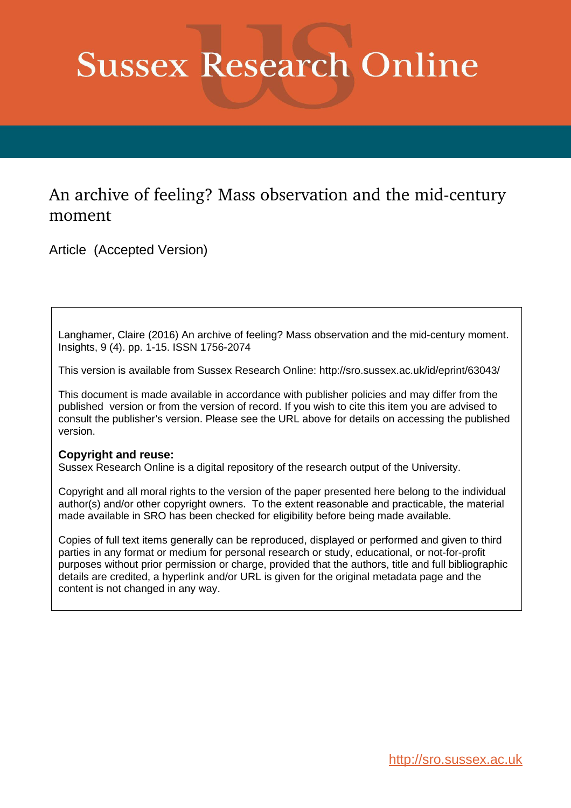# **Sussex Research Online**

# An archive of feeling? Mass observation and the mid-century moment

Article (Accepted Version)

Langhamer, Claire (2016) An archive of feeling? Mass observation and the mid-century moment. Insights, 9 (4). pp. 1-15. ISSN 1756-2074

This version is available from Sussex Research Online: http://sro.sussex.ac.uk/id/eprint/63043/

This document is made available in accordance with publisher policies and may differ from the published version or from the version of record. If you wish to cite this item you are advised to consult the publisher's version. Please see the URL above for details on accessing the published version.

## **Copyright and reuse:**

Sussex Research Online is a digital repository of the research output of the University.

Copyright and all moral rights to the version of the paper presented here belong to the individual author(s) and/or other copyright owners. To the extent reasonable and practicable, the material made available in SRO has been checked for eligibility before being made available.

Copies of full text items generally can be reproduced, displayed or performed and given to third parties in any format or medium for personal research or study, educational, or not-for-profit purposes without prior permission or charge, provided that the authors, title and full bibliographic details are credited, a hyperlink and/or URL is given for the original metadata page and the content is not changed in any way.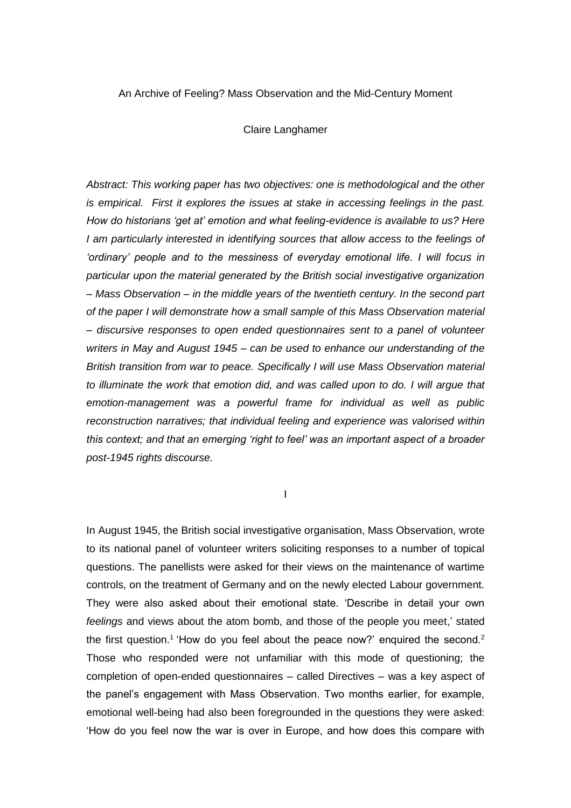### An Archive of Feeling? Mass Observation and the Mid-Century Moment

Claire Langhamer

*Abstract: This working paper has two objectives: one is methodological and the other is empirical. First it explores the issues at stake in accessing feelings in the past. How do historians 'get at' emotion and what feeling-evidence is available to us? Here I* am particularly interested in identifying sources that allow access to the feelings of *'ordinary' people and to the messiness of everyday emotional life. I will focus in particular upon the material generated by the British social investigative organization – Mass Observation – in the middle years of the twentieth century. In the second part of the paper I will demonstrate how a small sample of this Mass Observation material – discursive responses to open ended questionnaires sent to a panel of volunteer writers in May and August 1945 – can be used to enhance our understanding of the British transition from war to peace. Specifically I will use Mass Observation material to illuminate the work that emotion did, and was called upon to do. I will argue that emotion-management was a powerful frame for individual as well as public reconstruction narratives; that individual feeling and experience was valorised within this context; and that an emerging 'right to feel' was an important aspect of a broader post-1945 rights discourse.* 

I

In August 1945, the British social investigative organisation, Mass Observation, wrote to its national panel of volunteer writers soliciting responses to a number of topical questions. The panellists were asked for their views on the maintenance of wartime controls, on the treatment of Germany and on the newly elected Labour government. They were also asked about their emotional state. 'Describe in detail your own *feelings* and views about the atom bomb, and those of the people you meet,' stated the first question.<sup>1</sup> 'How do you feel about the peace now?' enquired the second.<sup>2</sup> Those who responded were not unfamiliar with this mode of questioning; the completion of open-ended questionnaires – called Directives – was a key aspect of the panel's engagement with Mass Observation. Two months earlier, for example, emotional well-being had also been foregrounded in the questions they were asked: 'How do you feel now the war is over in Europe, and how does this compare with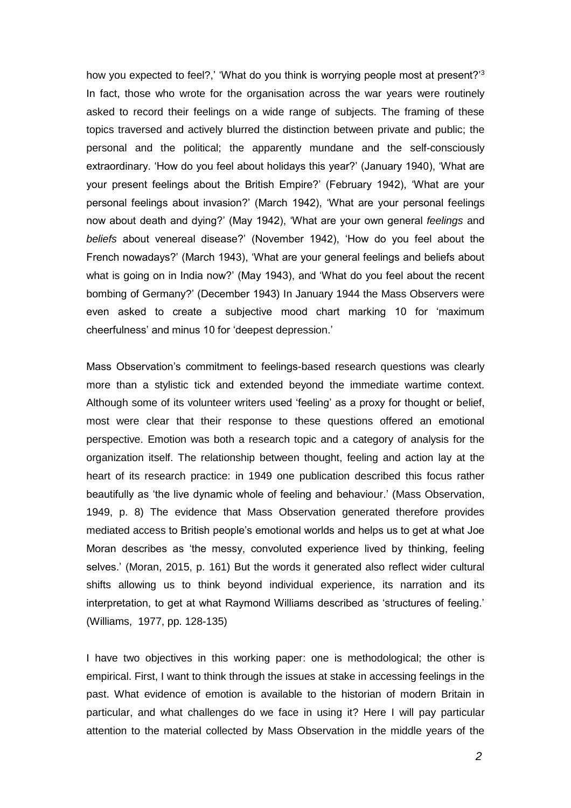how you expected to feel?,' 'What do you think is worrying people most at present?'<sup>3</sup> In fact, those who wrote for the organisation across the war years were routinely asked to record their feelings on a wide range of subjects. The framing of these topics traversed and actively blurred the distinction between private and public; the personal and the political; the apparently mundane and the self-consciously extraordinary. 'How do you feel about holidays this year?' (January 1940), 'What are your present feelings about the British Empire?' (February 1942), 'What are your personal feelings about invasion?' (March 1942), 'What are your personal feelings now about death and dying?' (May 1942), 'What are your own general *feelings* and *beliefs* about venereal disease?' (November 1942), 'How do you feel about the French nowadays?' (March 1943), 'What are your general feelings and beliefs about what is going on in India now?' (May 1943), and 'What do you feel about the recent bombing of Germany?' (December 1943) In January 1944 the Mass Observers were even asked to create a subjective mood chart marking 10 for 'maximum cheerfulness' and minus 10 for 'deepest depression.'

Mass Observation's commitment to feelings-based research questions was clearly more than a stylistic tick and extended beyond the immediate wartime context. Although some of its volunteer writers used 'feeling' as a proxy for thought or belief, most were clear that their response to these questions offered an emotional perspective. Emotion was both a research topic and a category of analysis for the organization itself. The relationship between thought, feeling and action lay at the heart of its research practice: in 1949 one publication described this focus rather beautifully as 'the live dynamic whole of feeling and behaviour.' (Mass Observation, 1949, p. 8) The evidence that Mass Observation generated therefore provides mediated access to British people's emotional worlds and helps us to get at what Joe Moran describes as 'the messy, convoluted experience lived by thinking, feeling selves.' (Moran, 2015, p. 161) But the words it generated also reflect wider cultural shifts allowing us to think beyond individual experience, its narration and its interpretation, to get at what Raymond Williams described as 'structures of feeling.' (Williams, 1977, pp. 128-135)

I have two objectives in this working paper: one is methodological; the other is empirical. First, I want to think through the issues at stake in accessing feelings in the past. What evidence of emotion is available to the historian of modern Britain in particular, and what challenges do we face in using it? Here I will pay particular attention to the material collected by Mass Observation in the middle years of the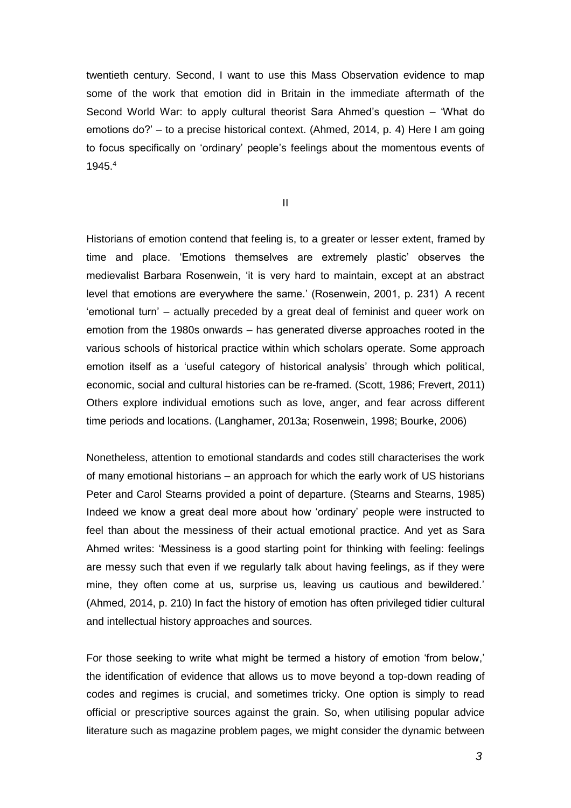twentieth century. Second, I want to use this Mass Observation evidence to map some of the work that emotion did in Britain in the immediate aftermath of the Second World War: to apply cultural theorist Sara Ahmed's question – 'What do emotions do?' – to a precise historical context. (Ahmed, 2014, p. 4) Here I am going to focus specifically on 'ordinary' people's feelings about the momentous events of 1945.<sup>4</sup>

II

Historians of emotion contend that feeling is, to a greater or lesser extent, framed by time and place. 'Emotions themselves are extremely plastic' observes the medievalist Barbara Rosenwein, 'it is very hard to maintain, except at an abstract level that emotions are everywhere the same.' (Rosenwein, 2001, p. 231) A recent 'emotional turn' – actually preceded by a great deal of feminist and queer work on emotion from the 1980s onwards – has generated diverse approaches rooted in the various schools of historical practice within which scholars operate. Some approach emotion itself as a 'useful category of historical analysis' through which political, economic, social and cultural histories can be re-framed. (Scott, 1986; Frevert, 2011) Others explore individual emotions such as love, anger, and fear across different time periods and locations. (Langhamer, 2013a; Rosenwein, 1998; Bourke, 2006)

Nonetheless, attention to emotional standards and codes still characterises the work of many emotional historians – an approach for which the early work of US historians Peter and Carol Stearns provided a point of departure. (Stearns and Stearns, 1985) Indeed we know a great deal more about how 'ordinary' people were instructed to feel than about the messiness of their actual emotional practice. And yet as Sara Ahmed writes: 'Messiness is a good starting point for thinking with feeling: feelings are messy such that even if we regularly talk about having feelings, as if they were mine, they often come at us, surprise us, leaving us cautious and bewildered.' (Ahmed, 2014, p. 210) In fact the history of emotion has often privileged tidier cultural and intellectual history approaches and sources.

For those seeking to write what might be termed a history of emotion 'from below,' the identification of evidence that allows us to move beyond a top-down reading of codes and regimes is crucial, and sometimes tricky. One option is simply to read official or prescriptive sources against the grain. So, when utilising popular advice literature such as magazine problem pages, we might consider the dynamic between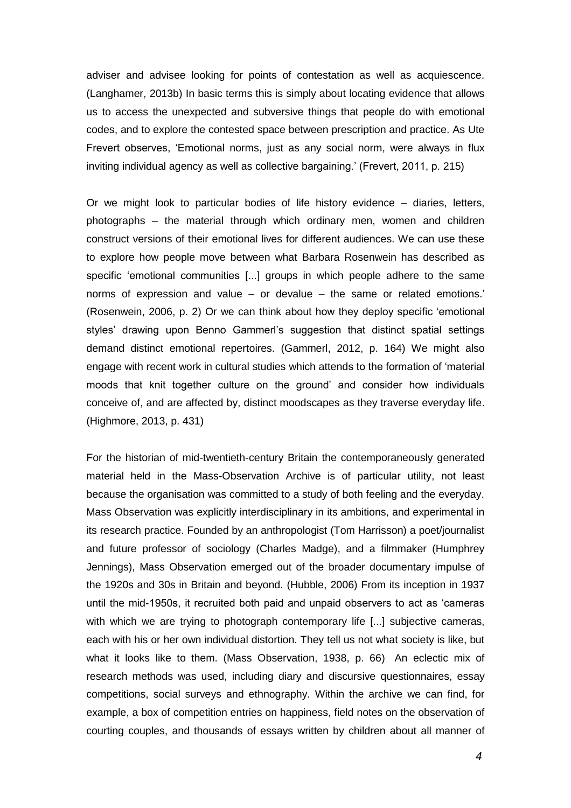adviser and advisee looking for points of contestation as well as acquiescence. (Langhamer, 2013b) In basic terms this is simply about locating evidence that allows us to access the unexpected and subversive things that people do with emotional codes, and to explore the contested space between prescription and practice. As Ute Frevert observes, 'Emotional norms, just as any social norm, were always in flux inviting individual agency as well as collective bargaining.' (Frevert, 2011, p. 215)

Or we might look to particular bodies of life history evidence – diaries, letters, photographs – the material through which ordinary men, women and children construct versions of their emotional lives for different audiences. We can use these to explore how people move between what Barbara Rosenwein has described as specific 'emotional communities [...] groups in which people adhere to the same norms of expression and value – or devalue – the same or related emotions.' (Rosenwein, 2006, p. 2) Or we can think about how they deploy specific 'emotional styles' drawing upon Benno Gammerl's suggestion that distinct spatial settings demand distinct emotional repertoires. (Gammerl, 2012, p. 164) We might also engage with recent work in cultural studies which attends to the formation of 'material moods that knit together culture on the ground' and consider how individuals conceive of, and are affected by, distinct moodscapes as they traverse everyday life. (Highmore, 2013, p. 431)

For the historian of mid-twentieth-century Britain the contemporaneously generated material held in the Mass-Observation Archive is of particular utility, not least because the organisation was committed to a study of both feeling and the everyday. Mass Observation was explicitly interdisciplinary in its ambitions, and experimental in its research practice. Founded by an anthropologist (Tom Harrisson) a poet/journalist and future professor of sociology (Charles Madge), and a filmmaker (Humphrey Jennings), Mass Observation emerged out of the broader documentary impulse of the 1920s and 30s in Britain and beyond. (Hubble, 2006) From its inception in 1937 until the mid-1950s, it recruited both paid and unpaid observers to act as 'cameras with which we are trying to photograph contemporary life [...] subjective cameras, each with his or her own individual distortion. They tell us not what society is like, but what it looks like to them. (Mass Observation, 1938, p. 66) An eclectic mix of research methods was used, including diary and discursive questionnaires, essay competitions, social surveys and ethnography. Within the archive we can find, for example, a box of competition entries on happiness, field notes on the observation of courting couples, and thousands of essays written by children about all manner of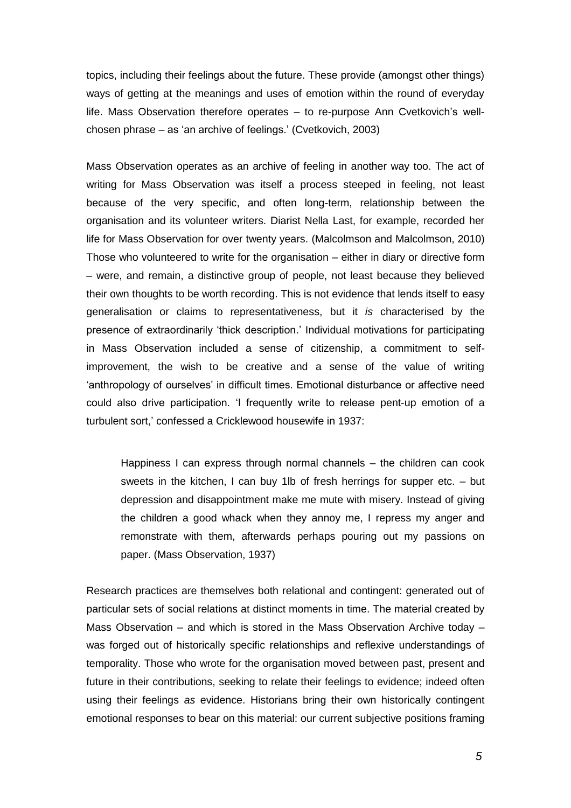topics, including their feelings about the future. These provide (amongst other things) ways of getting at the meanings and uses of emotion within the round of everyday life. Mass Observation therefore operates – to re-purpose Ann Cvetkovich's wellchosen phrase – as 'an archive of feelings.' (Cvetkovich, 2003)

Mass Observation operates as an archive of feeling in another way too. The act of writing for Mass Observation was itself a process steeped in feeling, not least because of the very specific, and often long-term, relationship between the organisation and its volunteer writers. Diarist Nella Last, for example, recorded her life for Mass Observation for over twenty years. (Malcolmson and Malcolmson, 2010) Those who volunteered to write for the organisation – either in diary or directive form – were, and remain, a distinctive group of people, not least because they believed their own thoughts to be worth recording. This is not evidence that lends itself to easy generalisation or claims to representativeness, but it *is* characterised by the presence of extraordinarily 'thick description.' Individual motivations for participating in Mass Observation included a sense of citizenship, a commitment to selfimprovement, the wish to be creative and a sense of the value of writing 'anthropology of ourselves' in difficult times. Emotional disturbance or affective need could also drive participation. 'I frequently write to release pent-up emotion of a turbulent sort,' confessed a Cricklewood housewife in 1937:

Happiness I can express through normal channels – the children can cook sweets in the kitchen, I can buy 1lb of fresh herrings for supper etc. – but depression and disappointment make me mute with misery. Instead of giving the children a good whack when they annoy me, I repress my anger and remonstrate with them, afterwards perhaps pouring out my passions on paper. (Mass Observation, 1937)

Research practices are themselves both relational and contingent: generated out of particular sets of social relations at distinct moments in time. The material created by Mass Observation – and which is stored in the Mass Observation Archive today – was forged out of historically specific relationships and reflexive understandings of temporality. Those who wrote for the organisation moved between past, present and future in their contributions, seeking to relate their feelings to evidence; indeed often using their feelings *as* evidence. Historians bring their own historically contingent emotional responses to bear on this material: our current subjective positions framing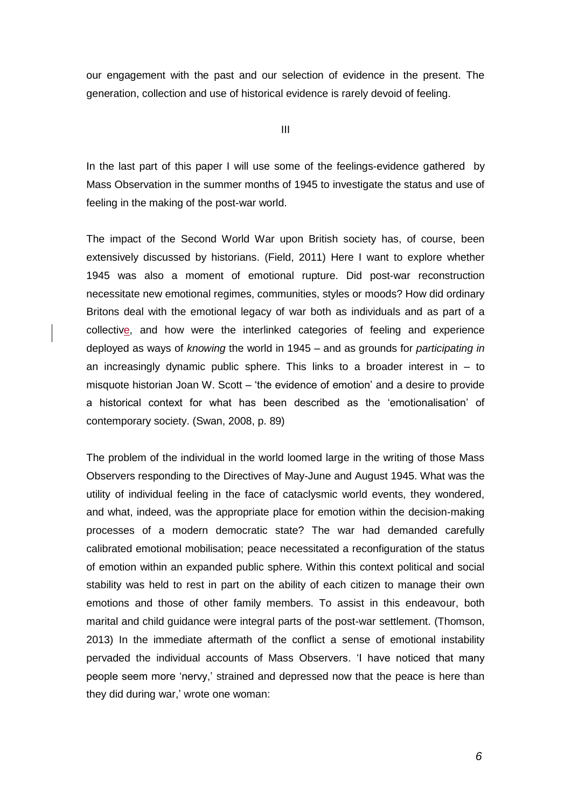our engagement with the past and our selection of evidence in the present. The generation, collection and use of historical evidence is rarely devoid of feeling.

III

In the last part of this paper I will use some of the feelings-evidence gathered by Mass Observation in the summer months of 1945 to investigate the status and use of feeling in the making of the post-war world.

The impact of the Second World War upon British society has, of course, been extensively discussed by historians. (Field, 2011) Here I want to explore whether 1945 was also a moment of emotional rupture. Did post-war reconstruction necessitate new emotional regimes, communities, styles or moods? How did ordinary Britons deal with the emotional legacy of war both as individuals and as part of a collective, and how were the interlinked categories of feeling and experience deployed as ways of *knowing* the world in 1945 – and as grounds for *participating in* an increasingly dynamic public sphere. This links to a broader interest in  $-$  to misquote historian Joan W. Scott – 'the evidence of emotion' and a desire to provide a historical context for what has been described as the 'emotionalisation' of contemporary society. (Swan, 2008, p. 89)

The problem of the individual in the world loomed large in the writing of those Mass Observers responding to the Directives of May-June and August 1945. What was the utility of individual feeling in the face of cataclysmic world events, they wondered, and what, indeed, was the appropriate place for emotion within the decision-making processes of a modern democratic state? The war had demanded carefully calibrated emotional mobilisation; peace necessitated a reconfiguration of the status of emotion within an expanded public sphere. Within this context political and social stability was held to rest in part on the ability of each citizen to manage their own emotions and those of other family members. To assist in this endeavour, both marital and child guidance were integral parts of the post-war settlement. (Thomson, 2013) In the immediate aftermath of the conflict a sense of emotional instability pervaded the individual accounts of Mass Observers. 'I have noticed that many people seem more 'nervy,' strained and depressed now that the peace is here than they did during war,' wrote one woman: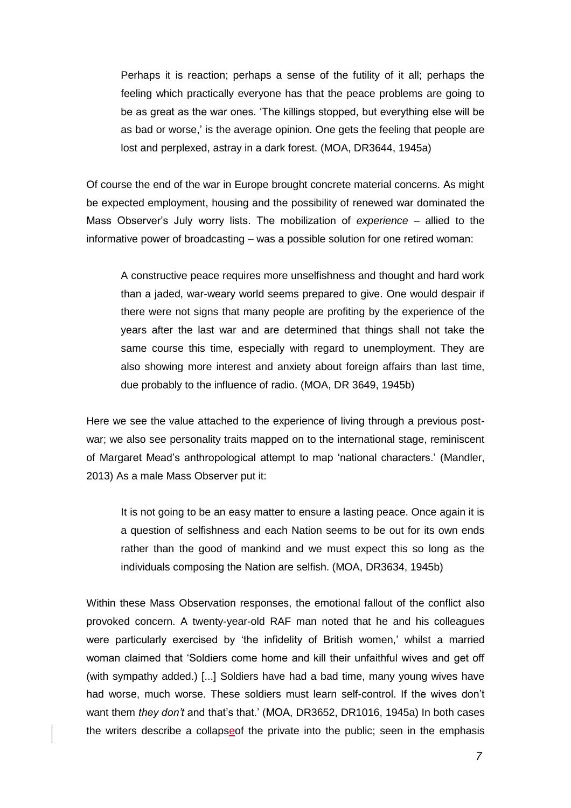Perhaps it is reaction; perhaps a sense of the futility of it all; perhaps the feeling which practically everyone has that the peace problems are going to be as great as the war ones. 'The killings stopped, but everything else will be as bad or worse,' is the average opinion. One gets the feeling that people are lost and perplexed, astray in a dark forest. (MOA, DR3644, 1945a)

Of course the end of the war in Europe brought concrete material concerns. As might be expected employment, housing and the possibility of renewed war dominated the Mass Observer's July worry lists. The mobilization of *experience* – allied to the informative power of broadcasting – was a possible solution for one retired woman:

A constructive peace requires more unselfishness and thought and hard work than a jaded, war-weary world seems prepared to give. One would despair if there were not signs that many people are profiting by the experience of the years after the last war and are determined that things shall not take the same course this time, especially with regard to unemployment. They are also showing more interest and anxiety about foreign affairs than last time, due probably to the influence of radio. (MOA, DR 3649, 1945b)

Here we see the value attached to the experience of living through a previous postwar; we also see personality traits mapped on to the international stage, reminiscent of Margaret Mead's anthropological attempt to map 'national characters.' (Mandler, 2013) As a male Mass Observer put it:

It is not going to be an easy matter to ensure a lasting peace. Once again it is a question of selfishness and each Nation seems to be out for its own ends rather than the good of mankind and we must expect this so long as the individuals composing the Nation are selfish. (MOA, DR3634, 1945b)

Within these Mass Observation responses, the emotional fallout of the conflict also provoked concern. A twenty-year-old RAF man noted that he and his colleagues were particularly exercised by 'the infidelity of British women,' whilst a married woman claimed that 'Soldiers come home and kill their unfaithful wives and get off (with sympathy added.) [...] Soldiers have had a bad time, many young wives have had worse, much worse. These soldiers must learn self-control. If the wives don't want them *they don't* and that's that.' (MOA, DR3652, DR1016, 1945a) In both cases the writers describe a collapseof the private into the public; seen in the emphasis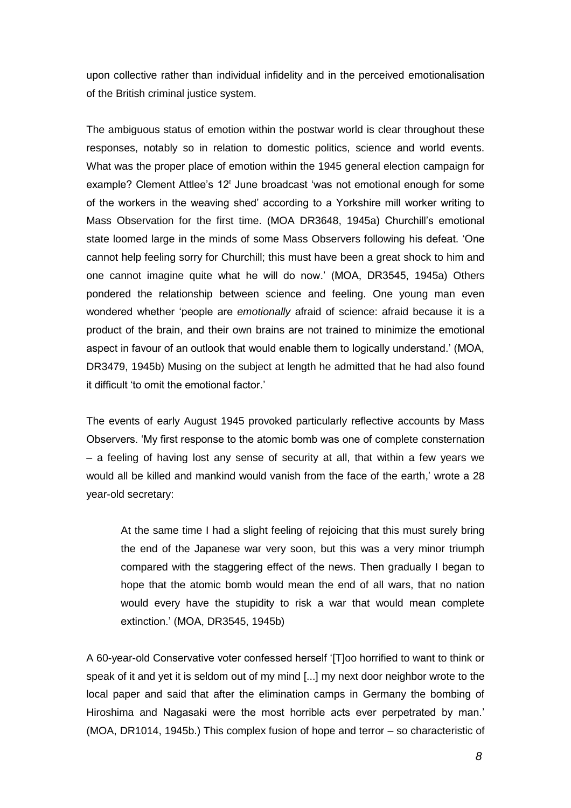upon collective rather than individual infidelity and in the perceived emotionalisation of the British criminal justice system.

The ambiguous status of emotion within the postwar world is clear throughout these responses, notably so in relation to domestic politics, science and world events. What was the proper place of emotion within the 1945 general election campaign for example? Clement Attlee's 12<sup>t</sup> June broadcast 'was not emotional enough for some of the workers in the weaving shed' according to a Yorkshire mill worker writing to Mass Observation for the first time. (MOA DR3648, 1945a) Churchill's emotional state loomed large in the minds of some Mass Observers following his defeat. 'One cannot help feeling sorry for Churchill; this must have been a great shock to him and one cannot imagine quite what he will do now.' (MOA, DR3545, 1945a) Others pondered the relationship between science and feeling. One young man even wondered whether 'people are *emotionally* afraid of science: afraid because it is a product of the brain, and their own brains are not trained to minimize the emotional aspect in favour of an outlook that would enable them to logically understand.' (MOA, DR3479, 1945b) Musing on the subject at length he admitted that he had also found it difficult 'to omit the emotional factor.'

The events of early August 1945 provoked particularly reflective accounts by Mass Observers. 'My first response to the atomic bomb was one of complete consternation – a feeling of having lost any sense of security at all, that within a few years we would all be killed and mankind would vanish from the face of the earth,' wrote a 28 year-old secretary:

At the same time I had a slight feeling of rejoicing that this must surely bring the end of the Japanese war very soon, but this was a very minor triumph compared with the staggering effect of the news. Then gradually I began to hope that the atomic bomb would mean the end of all wars, that no nation would every have the stupidity to risk a war that would mean complete extinction.' (MOA, DR3545, 1945b)

A 60-year-old Conservative voter confessed herself '[T]oo horrified to want to think or speak of it and yet it is seldom out of my mind [...] my next door neighbor wrote to the local paper and said that after the elimination camps in Germany the bombing of Hiroshima and Nagasaki were the most horrible acts ever perpetrated by man.' (MOA, DR1014, 1945b.) This complex fusion of hope and terror – so characteristic of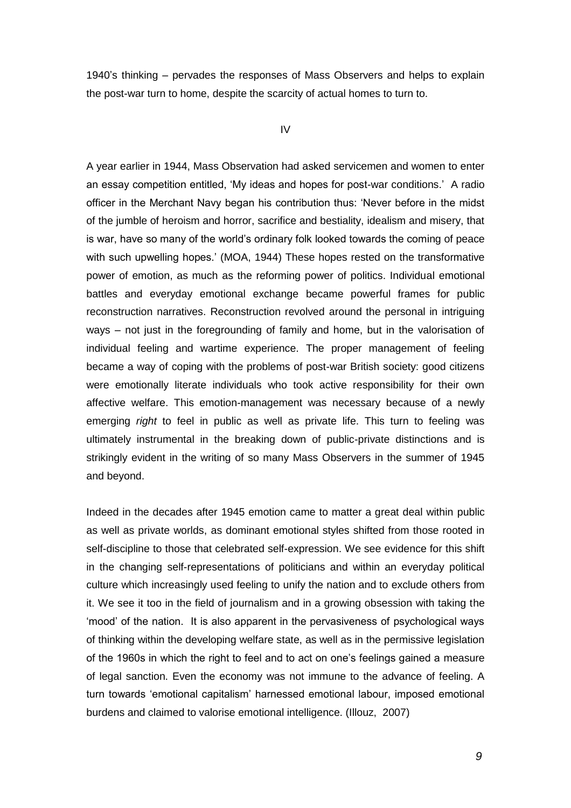1940's thinking – pervades the responses of Mass Observers and helps to explain the post-war turn to home, despite the scarcity of actual homes to turn to.

#### IV

A year earlier in 1944, Mass Observation had asked servicemen and women to enter an essay competition entitled, 'My ideas and hopes for post-war conditions.' A radio officer in the Merchant Navy began his contribution thus: 'Never before in the midst of the jumble of heroism and horror, sacrifice and bestiality, idealism and misery, that is war, have so many of the world's ordinary folk looked towards the coming of peace with such upwelling hopes.' (MOA, 1944) These hopes rested on the transformative power of emotion, as much as the reforming power of politics. Individual emotional battles and everyday emotional exchange became powerful frames for public reconstruction narratives. Reconstruction revolved around the personal in intriguing ways – not just in the foregrounding of family and home, but in the valorisation of individual feeling and wartime experience. The proper management of feeling became a way of coping with the problems of post-war British society: good citizens were emotionally literate individuals who took active responsibility for their own affective welfare. This emotion-management was necessary because of a newly emerging *right* to feel in public as well as private life. This turn to feeling was ultimately instrumental in the breaking down of public-private distinctions and is strikingly evident in the writing of so many Mass Observers in the summer of 1945 and beyond.

Indeed in the decades after 1945 emotion came to matter a great deal within public as well as private worlds, as dominant emotional styles shifted from those rooted in self-discipline to those that celebrated self-expression. We see evidence for this shift in the changing self-representations of politicians and within an everyday political culture which increasingly used feeling to unify the nation and to exclude others from it. We see it too in the field of journalism and in a growing obsession with taking the 'mood' of the nation. It is also apparent in the pervasiveness of psychological ways of thinking within the developing welfare state, as well as in the permissive legislation of the 1960s in which the right to feel and to act on one's feelings gained a measure of legal sanction. Even the economy was not immune to the advance of feeling. A turn towards 'emotional capitalism' harnessed emotional labour, imposed emotional burdens and claimed to valorise emotional intelligence. (Illouz, 2007)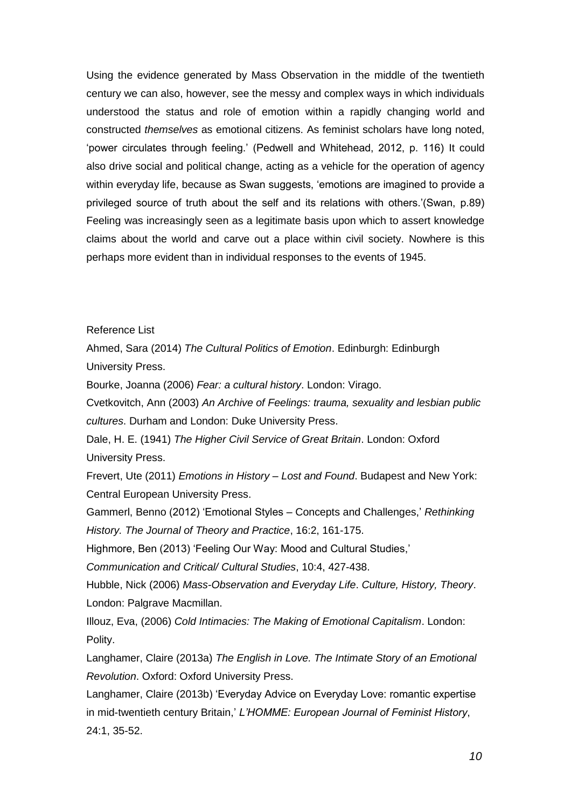Using the evidence generated by Mass Observation in the middle of the twentieth century we can also, however, see the messy and complex ways in which individuals understood the status and role of emotion within a rapidly changing world and constructed *themselves* as emotional citizens. As feminist scholars have long noted, 'power circulates through feeling.' (Pedwell and Whitehead, 2012, p. 116) It could also drive social and political change, acting as a vehicle for the operation of agency within everyday life, because as Swan suggests, 'emotions are imagined to provide a privileged source of truth about the self and its relations with others.'(Swan, p.89) Feeling was increasingly seen as a legitimate basis upon which to assert knowledge claims about the world and carve out a place within civil society. Nowhere is this perhaps more evident than in individual responses to the events of 1945.

Reference List

Ahmed, Sara (2014) *The Cultural Politics of Emotion*. Edinburgh: Edinburgh University Press.

Bourke, Joanna (2006) *Fear: a cultural history*. London: Virago.

Cvetkovitch, Ann (2003) *An Archive of Feelings: trauma, sexuality and lesbian public cultures*. Durham and London: Duke University Press.

Dale, H. E. (1941) *The Higher Civil Service of Great Britain*. London: Oxford University Press.

Frevert, Ute (2011) *Emotions in History – Lost and Found*. Budapest and New York: Central European University Press.

Gammerl, Benno (2012) 'Emotional Styles – Concepts and Challenges,' *Rethinking History. The Journal of Theory and Practice*, 16:2, 161-175.

Highmore, Ben (2013) 'Feeling Our Way: Mood and Cultural Studies,'

*Communication and Critical/ Cultural Studies*, 10:4, 427-438.

Hubble, Nick (2006) *Mass-Observation and Everyday Life*. *Culture, History, Theory*. London: Palgrave Macmillan.

Illouz, Eva, (2006) *Cold Intimacies: The Making of Emotional Capitalism*. London: Polity.

Langhamer, Claire (2013a) *The English in Love. The Intimate Story of an Emotional Revolution*. Oxford: Oxford University Press.

Langhamer, Claire (2013b) 'Everyday Advice on Everyday Love: romantic expertise in mid-twentieth century Britain,' *L'HOMME: European Journal of Feminist History*, 24:1, 35-52.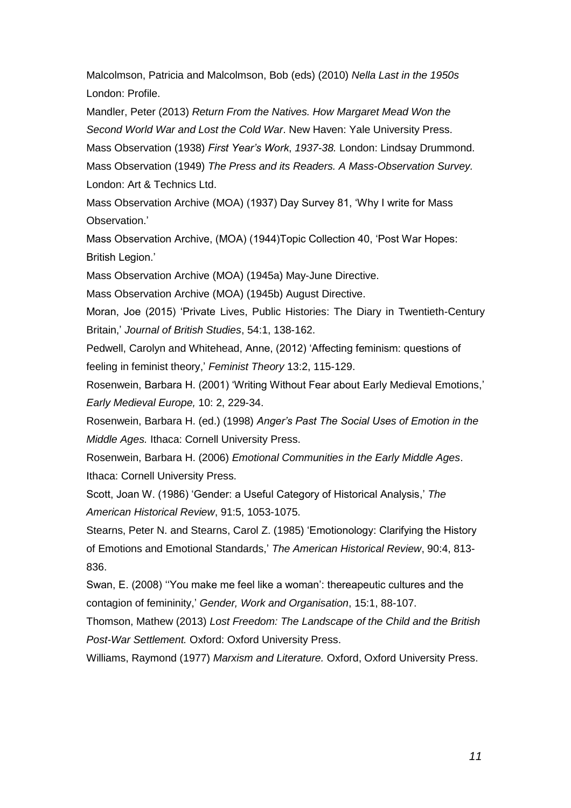Malcolmson, Patricia and Malcolmson, Bob (eds) (2010) *Nella Last in the 1950s* London: Profile.

Mandler, Peter (2013) *Return From the Natives. How Margaret Mead Won the Second World War and Lost the Cold War*. New Haven: Yale University Press.

Mass Observation (1938) *First Year's Work*, *1937-38.* London: Lindsay Drummond.

Mass Observation (1949) *The Press and its Readers. A Mass-Observation Survey.* London: Art & Technics Ltd.

Mass Observation Archive (MOA) (1937) Day Survey 81, 'Why I write for Mass Observation.'

Mass Observation Archive, (MOA) (1944)Topic Collection 40, 'Post War Hopes: British Legion.'

Mass Observation Archive (MOA) (1945a) May-June Directive.

Mass Observation Archive (MOA) (1945b) August Directive.

Moran, Joe (2015) 'Private Lives, Public Histories: The Diary in Twentieth-Century Britain,' *Journal of British Studies*, 54:1, 138-162.

Pedwell, Carolyn and Whitehead, Anne, (2012) 'Affecting feminism: questions of feeling in feminist theory,' *Feminist Theory* 13:2, 115-129.

Rosenwein, Barbara H. (2001) 'Writing Without Fear about Early Medieval Emotions,' *Early Medieval Europe,* 10: 2, 229-34.

Rosenwein, Barbara H. (ed.) (1998) *Anger's Past The Social Uses of Emotion in the Middle Ages.* Ithaca: Cornell University Press.

Rosenwein, Barbara H. (2006) *Emotional Communities in the Early Middle Ages*. Ithaca: Cornell University Press.

Scott, Joan W. (1986) 'Gender: a Useful Category of Historical Analysis,' *The American Historical Review*, 91:5, 1053-1075.

Stearns, Peter N. and Stearns, Carol Z. (1985) 'Emotionology: Clarifying the History of Emotions and Emotional Standards,' *The American Historical Review*, 90:4, 813- 836.

Swan, E. (2008) ''You make me feel like a woman': thereapeutic cultures and the contagion of femininity,' *Gender, Work and Organisation*, 15:1, 88-107.

Thomson, Mathew (2013) *Lost Freedom: The Landscape of the Child and the British Post-War Settlement.* Oxford: Oxford University Press.

Williams, Raymond (1977) *Marxism and Literature.* Oxford, Oxford University Press.